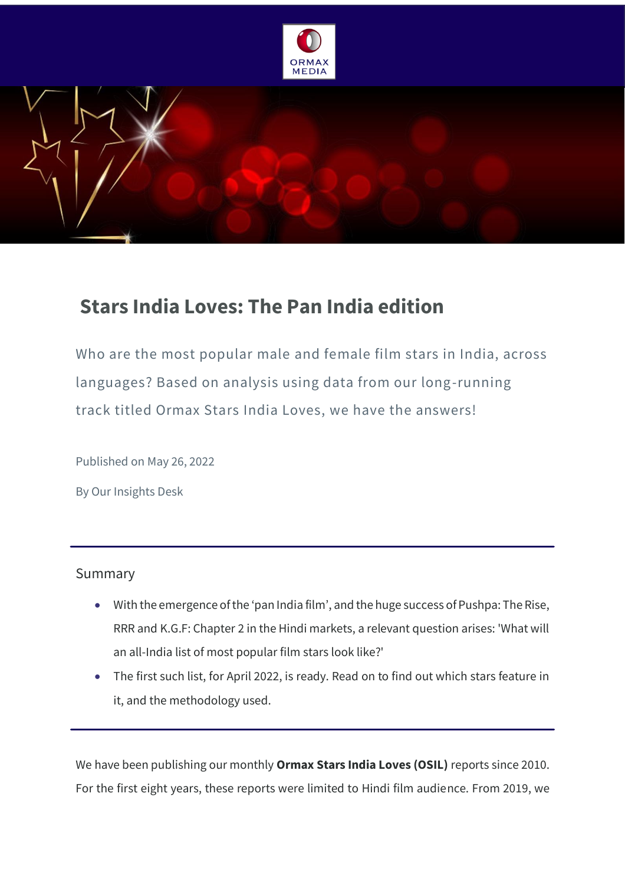



# **Stars India Loves: The Pan India edition**

Who are the most popular male and female film stars in India, across languages? Based on analysis using data from our long-running track titled Ormax Stars India Loves, we have the answers!

Published on May 26, 2022

By Our Insights Desk

## Summary

- With the emergence of the 'pan India film', and the huge success of Pushpa: The Rise, RRR and K.G.F: Chapter 2 in the Hindi markets, a relevant question arises: 'What will an all-India list of most popular film stars look like?'
- The first such list, for April 2022, is ready. Read on to find out which stars feature in it, and the methodology used.

We have been publishing our monthly **Ormax Stars India Loves (OSIL)** reports since 2010. For the first eight years, these reports were limited to Hindi film audience. From 2019, we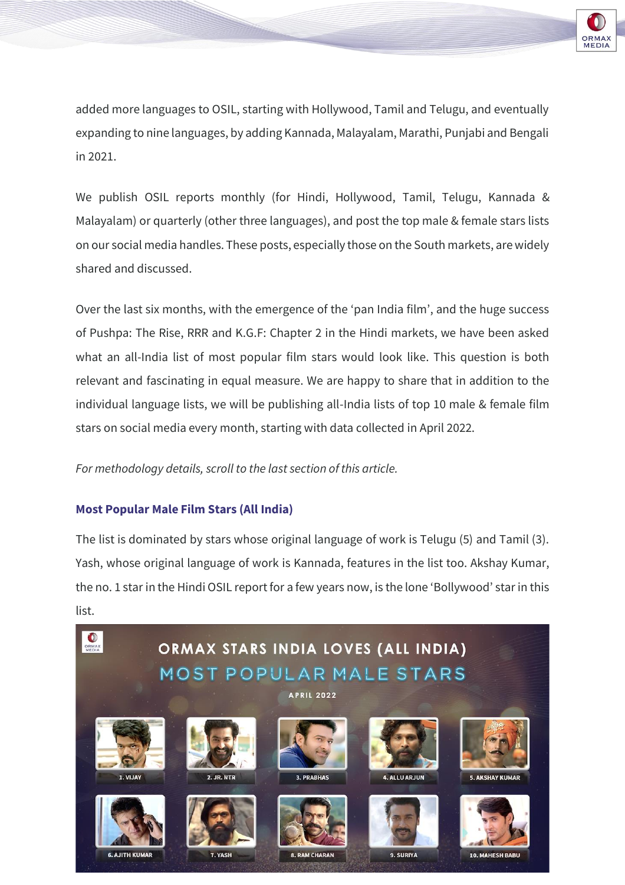

added more languages to OSIL, starting with Hollywood, Tamil and Telugu, and eventually expanding to nine languages, by adding Kannada, Malayalam, Marathi, Punjabi and Bengali in 2021.

We publish OSIL reports monthly (for Hindi, Hollywood, Tamil, Telugu, Kannada & Malayalam) or quarterly (other three languages), and post the top male & female stars lists on our social media handles. These posts, especially those on the South markets, are widely shared and discussed.

Over the last six months, with the emergence of the 'pan India film', and the huge success of Pushpa: The Rise, RRR and K.G.F: Chapter 2 in the Hindi markets, we have been asked what an all-India list of most popular film stars would look like. This question is both relevant and fascinating in equal measure. We are happy to share that in addition to the individual language lists, we will be publishing all-India lists of top 10 male & female film stars on social media every month, starting with data collected in April 2022.

## *For methodology details, scroll to the last section of this article.*

## **Most Popular Male Film Stars (All India)**

The list is dominated by stars whose original language of work is Telugu (5) and Tamil (3). Yash, whose original language of work is Kannada, features in the list too. Akshay Kumar, the no. 1 star in the Hindi OSIL report for a few years now, is the lone 'Bollywood' star in this list.

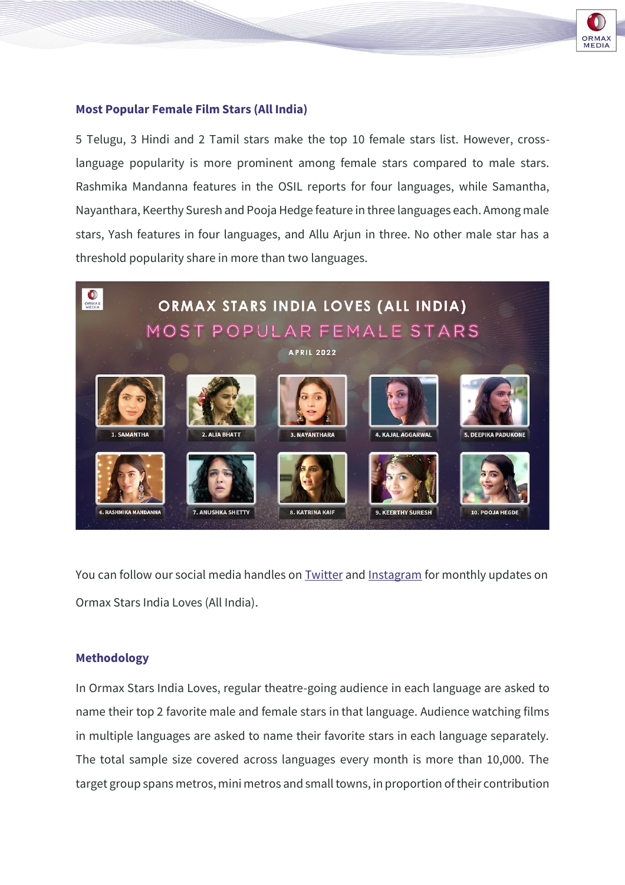

#### **Most Popular Female Film Stars (All India)**

5 Telugu, 3 Hindi and 2 Tamil stars make the top 10 female stars list. However, crosslanguage popularity is more prominent among female stars compared to male stars. Rashmika Mandanna features in the OSIL reports for four languages, while Samantha, Nayanthara, Keerthy Suresh and Pooja Hedge feature in three languages each. Among male stars, Yash features in four languages, and Allu Arjun in three. No other male star has a threshold popularity share in more than two languages.



You can follow our social media handles on **[Twitter](https://twitter.com/OrmaxMedia)** and **[Instagram](https://www.instagram.com/ormaxmedia/)** for monthly updates on Ormax Stars India Loves (All India).

#### **Methodology**

In Ormax Stars India Loves, regular theatre-going audience in each language are asked to name their top 2 favorite male and female stars in that language. Audience watching films in multiple languages are asked to name their favorite stars in each language separately. The total sample size covered across languages every month is more than 10,000. The target group spans metros, mini metros and small towns, in proportion of their contribution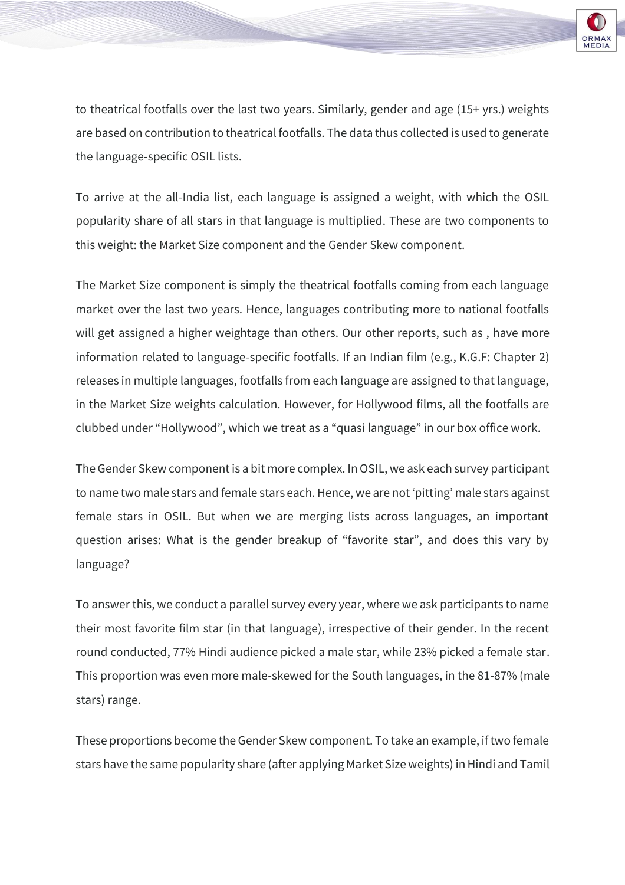

to theatrical footfalls over the last two years. Similarly, gender and age (15+ yrs.) weights are based on contribution to theatrical footfalls. The data thus collected is used to generate the language-specific OSIL lists.

To arrive at the all-India list, each language is assigned a weight, with which the OSIL popularity share of all stars in that language is multiplied. These are two components to this weight: the Market Size component and the Gender Skew component.

The Market Size component is simply the theatrical footfalls coming from each language market over the last two years. Hence, languages contributing more to national footfalls will get assigned a higher weightage than others. Our other reports, such as , have more information related to language-specific footfalls. If an Indian film (e.g., K.G.F: Chapter 2) releases in multiple languages, footfalls from each language are assigned to that language, in the Market Size weights calculation. However, for Hollywood films, all the footfalls are clubbed under "Hollywood", which we treat as a "quasi language" in our box office work.

The Gender Skew component is a bit more complex. In OSIL, we ask each survey participant to name two male stars and female stars each. Hence, we are not 'pitting' male stars against female stars in OSIL. But when we are merging lists across languages, an important question arises: What is the gender breakup of "favorite star", and does this vary by language?

To answer this, we conduct a parallel survey every year, where we ask participants to name their most favorite film star (in that language), irrespective of their gender. In the recent round conducted, 77% Hindi audience picked a male star, while 23% picked a female star. This proportion was even more male-skewed for the South languages, in the 81-87% (male stars) range.

These proportions become the Gender Skew component. To take an example, if two female stars have the same popularity share (after applying Market Size weights) in Hindi and Tamil